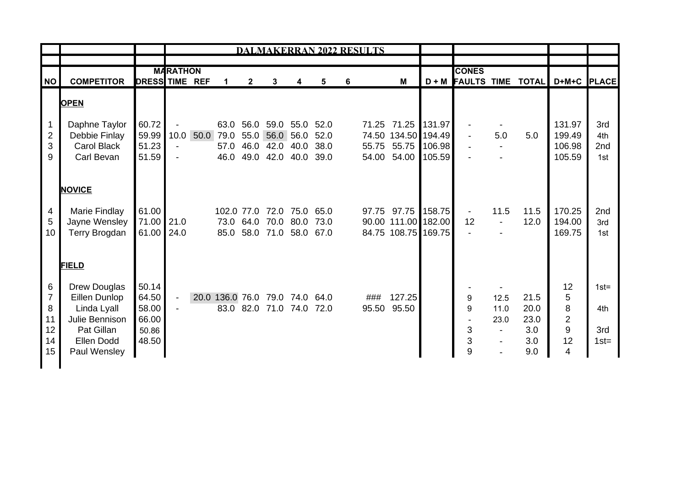|                                                  |                                                                                                                                   |                                                    | <b>DALMAKERRAN 2022 RESULTS</b>                                                |  |                                |                                   |                                                                    |                                        |                      |   |              |                                                                                |        |                       |                                                          |                                           |                                      |                                  |
|--------------------------------------------------|-----------------------------------------------------------------------------------------------------------------------------------|----------------------------------------------------|--------------------------------------------------------------------------------|--|--------------------------------|-----------------------------------|--------------------------------------------------------------------|----------------------------------------|----------------------|---|--------------|--------------------------------------------------------------------------------|--------|-----------------------|----------------------------------------------------------|-------------------------------------------|--------------------------------------|----------------------------------|
|                                                  |                                                                                                                                   |                                                    | <b>MARATHON</b>                                                                |  |                                |                                   |                                                                    |                                        |                      |   | <b>CONES</b> |                                                                                |        |                       |                                                          |                                           |                                      |                                  |
| NO                                               | <b>COMPETITOR</b>                                                                                                                 | <b>DRESS TIME REF</b>                              |                                                                                |  | 1                              | $\mathbf{2}$                      | 3                                                                  | 4                                      | 5                    | 6 |              | M                                                                              |        |                       |                                                          |                                           | D + M FAULTS TIME TOTAL D+M+C PLACE  |                                  |
| <b>OPEN</b>                                      |                                                                                                                                   |                                                    |                                                                                |  |                                |                                   |                                                                    |                                        |                      |   |              |                                                                                |        |                       |                                                          |                                           |                                      |                                  |
| $\overline{2}$<br>3<br>9                         | Daphne Taylor<br>Debbie Finlay<br><b>Carol Black</b><br>Carl Bevan                                                                | 60.72<br>59.99<br>51.23<br>51.59                   | $\overline{\phantom{a}}$<br>10.0<br>$\overline{\phantom{a}}$<br>$\blacksquare$ |  | 50.0 79.0<br>57.0<br>46.0      | 63.0 56.0<br>55.0<br>46.0<br>49.0 | 56.0<br>42.0<br>42.0                                               | 59.0 55.0 52.0<br>56.0<br>40.0<br>40.0 | 52.0<br>38.0<br>39.0 |   |              | 71.25 71.25 131.97<br>74.50 134.50 194.49<br>55.75 55.75 106.98<br>54.00 54.00 | 105.59 |                       | 5.0                                                      | 5.0                                       | 131.97<br>199.49<br>106.98<br>105.59 | 3rd<br>4th<br>2nd<br>1st         |
| 4<br>5<br>10 <sup>°</sup>                        | <b>NOVICE</b><br>Marie Findlay<br>Jayne Wensley<br>Terry Brogdan                                                                  | 61.00<br>71.00 21.0<br>61.00                       | 24.0                                                                           |  |                                |                                   | 102.0 77.0 72.0<br>73.0 64.0 70.0 80.0<br>85.0 58.0 71.0 58.0 67.0 | 75.0 65.0                              | 73.0                 |   |              | 97.75 97.75 158.75<br>90.00 111.00 182.00<br>84.75 108.75 169.75               |        | $\blacksquare$<br>12  | 11.5<br>$\blacksquare$                                   | 11.5<br>12.0                              | 170.25<br>194.00<br>169.75           | 2nd<br>3rd<br>1st                |
| 6<br>$\overline{7}$<br>8<br>11<br>12<br>14<br>15 | <b>FIELD</b><br><b>Drew Douglas</b><br>Eillen Dunlop<br>Linda Lyall<br>Julie Bennison<br>Pat Gillan<br>Ellen Dodd<br>Paul Wensley | 50.14<br>64.50<br>58.00<br>66.00<br>50.86<br>48.50 | $\blacksquare$<br>$\blacksquare$                                               |  | 20.0 136.0 76.0 79.0 74.0 64.0 |                                   | 83.0 82.0 71.0 74.0                                                |                                        | 72.0                 |   | ###<br>95.50 | 127.25<br>95.50                                                                |        | 9<br>9<br>3<br>3<br>9 | 12.5<br>11.0<br>23.0<br>$\blacksquare$<br>$\blacksquare$ | 21.5<br>20.0<br>23.0<br>3.0<br>3.0<br>9.0 | 12<br>5<br>8<br>2<br>9<br>12<br>4    | $1st =$<br>4th<br>3rd<br>$1st =$ |